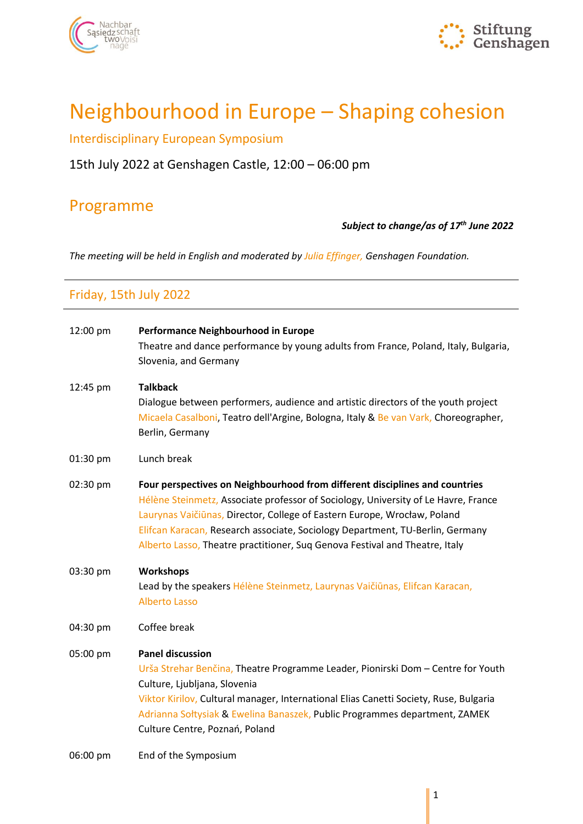



# Neighbourhood in Europe – Shaping cohesion

Interdisciplinary European Symposium

### 15th July 2022 at Genshagen Castle, 12:00 – 06:00 pm

## Programme

#### *Subject to change/as of 17th June 2022*

*The meeting will be held in English and moderated by Julia Effinger, Genshagen Foundation.*

### Friday, 15th July 2022

| 12:00 pm | Performance Neighbourhood in Europe                                                                                                                                                                                                                                                                                                                                                                           |
|----------|---------------------------------------------------------------------------------------------------------------------------------------------------------------------------------------------------------------------------------------------------------------------------------------------------------------------------------------------------------------------------------------------------------------|
|          | Theatre and dance performance by young adults from France, Poland, Italy, Bulgaria,<br>Slovenia, and Germany                                                                                                                                                                                                                                                                                                  |
| 12:45 pm | <b>Talkback</b><br>Dialogue between performers, audience and artistic directors of the youth project<br>Micaela Casalboni, Teatro dell'Argine, Bologna, Italy & Be van Vark, Choreographer,<br>Berlin, Germany                                                                                                                                                                                                |
| 01:30 pm | Lunch break                                                                                                                                                                                                                                                                                                                                                                                                   |
| 02:30 pm | Four perspectives on Neighbourhood from different disciplines and countries<br>Hélène Steinmetz, Associate professor of Sociology, University of Le Havre, France<br>Laurynas Vaičiūnas, Director, College of Eastern Europe, Wrocław, Poland<br>Elifcan Karacan, Research associate, Sociology Department, TU-Berlin, Germany<br>Alberto Lasso, Theatre practitioner, Suq Genova Festival and Theatre, Italy |
| 03:30 pm | <b>Workshops</b><br>Lead by the speakers Hélène Steinmetz, Laurynas Vaičiūnas, Elifcan Karacan,<br><b>Alberto Lasso</b>                                                                                                                                                                                                                                                                                       |
| 04:30 pm | Coffee break                                                                                                                                                                                                                                                                                                                                                                                                  |
| 05:00 pm | <b>Panel discussion</b><br>Urša Strehar Benčina, Theatre Programme Leader, Pionirski Dom - Centre for Youth<br>Culture, Ljubljana, Slovenia<br>Viktor Kirilov, Cultural manager, International Elias Canetti Society, Ruse, Bulgaria<br>Adrianna Sołtysiak & Ewelina Banaszek, Public Programmes department, ZAMEK<br>Culture Centre, Poznań, Poland                                                          |
| 06:00 pm | End of the Symposium                                                                                                                                                                                                                                                                                                                                                                                          |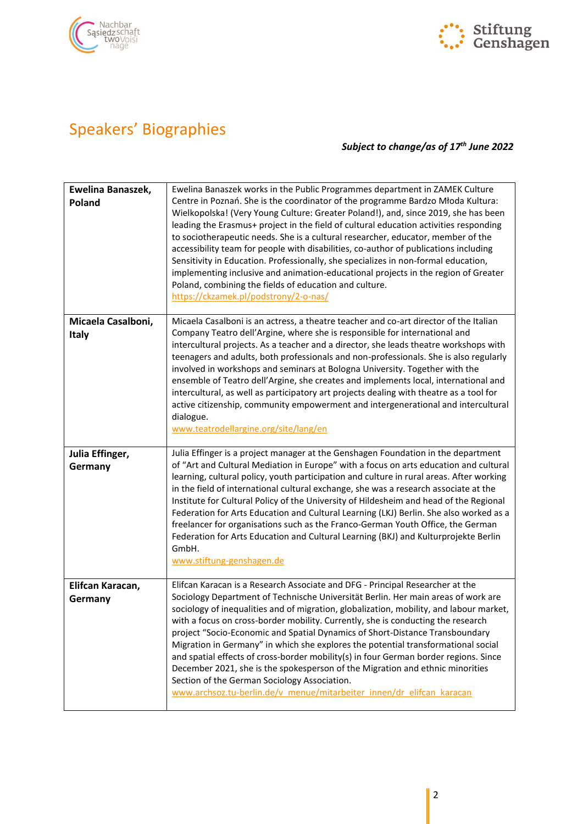



## Speakers' Biographies

#### *Subject to change/as of 17 th June 2022*

| Ewelina Banaszek,<br>Poland        | Ewelina Banaszek works in the Public Programmes department in ZAMEK Culture<br>Centre in Poznań. She is the coordinator of the programme Bardzo Młoda Kultura:<br>Wielkopolska! (Very Young Culture: Greater Poland!), and, since 2019, she has been<br>leading the Erasmus+ project in the field of cultural education activities responding<br>to sociotherapeutic needs. She is a cultural researcher, educator, member of the<br>accessibility team for people with disabilities, co-author of publications including<br>Sensitivity in Education. Professionally, she specializes in non-formal education,<br>implementing inclusive and animation-educational projects in the region of Greater<br>Poland, combining the fields of education and culture.<br>https://ckzamek.pl/podstrony/2-o-nas/                 |
|------------------------------------|--------------------------------------------------------------------------------------------------------------------------------------------------------------------------------------------------------------------------------------------------------------------------------------------------------------------------------------------------------------------------------------------------------------------------------------------------------------------------------------------------------------------------------------------------------------------------------------------------------------------------------------------------------------------------------------------------------------------------------------------------------------------------------------------------------------------------|
| Micaela Casalboni,<br><b>Italy</b> | Micaela Casalboni is an actress, a theatre teacher and co-art director of the Italian<br>Company Teatro dell'Argine, where she is responsible for international and<br>intercultural projects. As a teacher and a director, she leads theatre workshops with<br>teenagers and adults, both professionals and non-professionals. She is also regularly<br>involved in workshops and seminars at Bologna University. Together with the<br>ensemble of Teatro dell'Argine, she creates and implements local, international and<br>intercultural, as well as participatory art projects dealing with theatre as a tool for<br>active citizenship, community empowerment and intergenerational and intercultural<br>dialogue.<br>www.teatrodellargine.org/site/lang/en                                                        |
| Julia Effinger,<br>Germany         | Julia Effinger is a project manager at the Genshagen Foundation in the department<br>of "Art and Cultural Mediation in Europe" with a focus on arts education and cultural<br>learning, cultural policy, youth participation and culture in rural areas. After working<br>in the field of international cultural exchange, she was a research associate at the<br>Institute for Cultural Policy of the University of Hildesheim and head of the Regional<br>Federation for Arts Education and Cultural Learning (LKJ) Berlin. She also worked as a<br>freelancer for organisations such as the Franco-German Youth Office, the German<br>Federation for Arts Education and Cultural Learning (BKJ) and Kulturprojekte Berlin<br>GmbH.<br>www.stiftung-genshagen.de                                                       |
| Elifcan Karacan,<br>Germany        | Elifcan Karacan is a Research Associate and DFG - Principal Researcher at the<br>Sociology Department of Technische Universität Berlin. Her main areas of work are<br>sociology of inequalities and of migration, globalization, mobility, and labour market,<br>with a focus on cross-border mobility. Currently, she is conducting the research<br>project "Socio-Economic and Spatial Dynamics of Short-Distance Transboundary<br>Migration in Germany" in which she explores the potential transformational social<br>and spatial effects of cross-border mobility(s) in four German border regions. Since<br>December 2021, she is the spokesperson of the Migration and ethnic minorities<br>Section of the German Sociology Association.<br>www.archsoz.tu-berlin.de/v menue/mitarbeiter innen/dr elifcan karacan |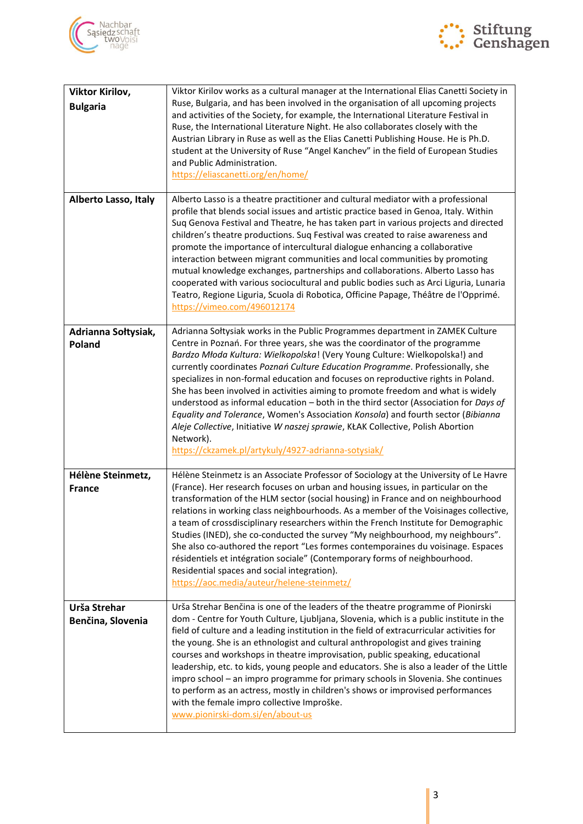



| Viktor Kirilov,                    | Viktor Kirilov works as a cultural manager at the International Elias Canetti Society in                                                                                                                                                                                                                                                                                                                                                                                                                                                                                                                                                                                                                                                                                                                                                 |
|------------------------------------|------------------------------------------------------------------------------------------------------------------------------------------------------------------------------------------------------------------------------------------------------------------------------------------------------------------------------------------------------------------------------------------------------------------------------------------------------------------------------------------------------------------------------------------------------------------------------------------------------------------------------------------------------------------------------------------------------------------------------------------------------------------------------------------------------------------------------------------|
| <b>Bulgaria</b>                    | Ruse, Bulgaria, and has been involved in the organisation of all upcoming projects<br>and activities of the Society, for example, the International Literature Festival in<br>Ruse, the International Literature Night. He also collaborates closely with the<br>Austrian Library in Ruse as well as the Elias Canetti Publishing House. He is Ph.D.<br>student at the University of Ruse "Angel Kanchev" in the field of European Studies<br>and Public Administration.<br>https://eliascanetti.org/en/home/                                                                                                                                                                                                                                                                                                                            |
| <b>Alberto Lasso, Italy</b>        | Alberto Lasso is a theatre practitioner and cultural mediator with a professional<br>profile that blends social issues and artistic practice based in Genoa, Italy. Within<br>Suq Genova Festival and Theatre, he has taken part in various projects and directed<br>children's theatre productions. Suq Festival was created to raise awareness and<br>promote the importance of intercultural dialogue enhancing a collaborative<br>interaction between migrant communities and local communities by promoting<br>mutual knowledge exchanges, partnerships and collaborations. Alberto Lasso has<br>cooperated with various sociocultural and public bodies such as Arci Liguria, Lunaria<br>Teatro, Regione Liguria, Scuola di Robotica, Officine Papage, Théâtre de l'Opprimé.<br>https://vimeo.com/496012174                        |
| Adrianna Sołtysiak,<br>Poland      | Adrianna Soltysiak works in the Public Programmes department in ZAMEK Culture<br>Centre in Poznań. For three years, she was the coordinator of the programme<br>Bardzo Młoda Kultura: Wielkopolska! (Very Young Culture: Wielkopolska!) and<br>currently coordinates Poznań Culture Education Programme. Professionally, she<br>specializes in non-formal education and focuses on reproductive rights in Poland.<br>She has been involved in activities aiming to promote freedom and what is widely<br>understood as informal education - both in the third sector (Association for Days of<br>Equality and Tolerance, Women's Association Konsola) and fourth sector (Bibianna<br>Aleje Collective, Initiative W naszej sprawie, KŁAK Collective, Polish Abortion<br>Network).<br>https://ckzamek.pl/artykuly/4927-adrianna-sotysiak/ |
| Hélène Steinmetz,<br><b>France</b> | Hélène Steinmetz is an Associate Professor of Sociology at the University of Le Havre<br>(France). Her research focuses on urban and housing issues, in particular on the<br>transformation of the HLM sector (social housing) in France and on neighbourhood<br>relations in working class neighbourhoods. As a member of the Voisinages collective,<br>a team of crossdisciplinary researchers within the French Institute for Demographic<br>Studies (INED), she co-conducted the survey "My neighbourhood, my neighbours".<br>She also co-authored the report "Les formes contemporaines du voisinage. Espaces<br>résidentiels et intégration sociale" (Contemporary forms of neighbourhood.<br>Residential spaces and social integration).<br>https://aoc.media/auteur/helene-steinmetz/                                            |
| Urša Strehar<br>Benčina, Slovenia  | Urša Strehar Benčina is one of the leaders of the theatre programme of Pionirski<br>dom - Centre for Youth Culture, Ljubljana, Slovenia, which is a public institute in the<br>field of culture and a leading institution in the field of extracurricular activities for<br>the young. She is an ethnologist and cultural anthropologist and gives training<br>courses and workshops in theatre improvisation, public speaking, educational<br>leadership, etc. to kids, young people and educators. She is also a leader of the Little<br>impro school - an impro programme for primary schools in Slovenia. She continues<br>to perform as an actress, mostly in children's shows or improvised performances<br>with the female impro collective Improške.<br>www.pionirski-dom.si/en/about-us                                         |